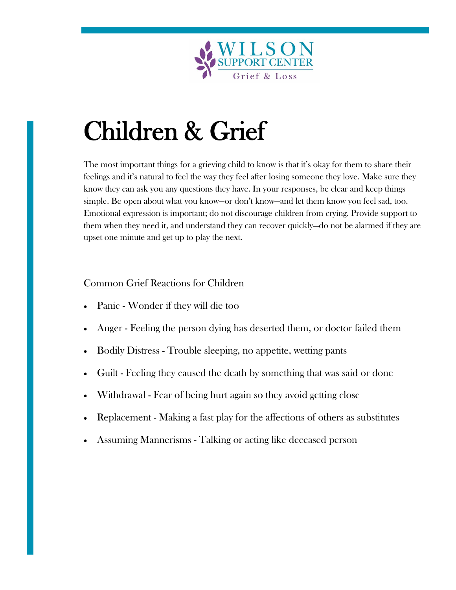

# Children & Grief

The most important things for a grieving child to know is that it's okay for them to share their feelings and it's natural to feel the way they feel after losing someone they love. Make sure they know they can ask you any questions they have. In your responses, be clear and keep things simple. Be open about what you know—or don't know—and let them know you feel sad, too. Emotional expression is important; do not discourage children from crying. Provide support to them when they need it, and understand they can recover quickly—do not be alarmed if they are upset one minute and get up to play the next.

### Common Grief Reactions for Children

- Panic Wonder if they will die too
- Anger Feeling the person dying has deserted them, or doctor failed them
- Bodily Distress Trouble sleeping, no appetite, wetting pants
- Guilt Feeling they caused the death by something that was said or done
- Withdrawal Fear of being hurt again so they avoid getting close
- Replacement Making a fast play for the affections of others as substitutes
- Assuming Mannerisms Talking or acting like deceased person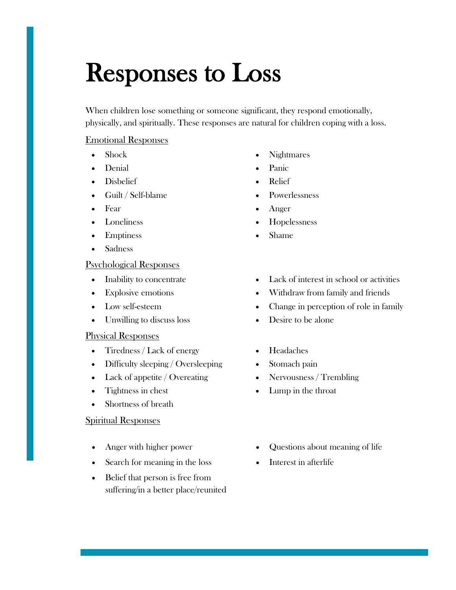### Responses to Loss

When children lose something or someone significant, they respond emotionally, physically, and spiritually. These responses are natural for children coping with a loss.

### Emotional Responses

- 
- Denial Panic
- Disbelief Relief
- Guilt / Self-blame Powerlessness
- 
- 
- Emptiness Shame
- Sadness

### Psychological Responses

- 
- 
- 
- Unwilling to discuss loss Desire to be alone

### Physical Responses

- Tiredness / Lack of energy Headaches
- Difficulty sleeping / Oversleeping Stomach pain
- Lack of appetite / Overeating Nervousness / Trembling
- 
- Shortness of breath

### Spiritual Responses

- 
- Search for meaning in the loss Interest in afterlife
- Belief that person is free from suffering/in a better place/reunited
- Shock Nightmares
	-
	-
	-
- Fear Anger
- Loneliness Hopelessness
	-
- Inability to concentrate Lack of interest in school or activities
- Explosive emotions Withdraw from family and friends
- Low self-esteem Change in perception of role in family
	-
	-
	-
	-
- Tightness in chest Lump in the throat
- Anger with higher power Questions about meaning of life
	-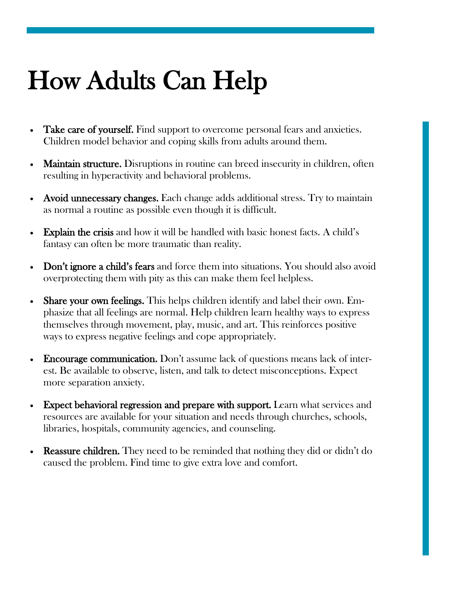## How Adults Can Help

- Take care of yourself. Find support to overcome personal fears and anxieties. Children model behavior and coping skills from adults around them.
- **Maintain structure.** Disruptions in routine can breed insecurity in children, often resulting in hyperactivity and behavioral problems.
- Avoid unnecessary changes. Each change adds additional stress. Try to maintain as normal a routine as possible even though it is difficult.
- Explain the crisis and how it will be handled with basic honest facts. A child's fantasy can often be more traumatic than reality.
- Don't ignore a child's fears and force them into situations. You should also avoid overprotecting them with pity as this can make them feel helpless.
- Share your own feelings. This helps children identify and label their own. Emphasize that all feelings are normal. Help children learn healthy ways to express themselves through movement, play, music, and art. This reinforces positive ways to express negative feelings and cope appropriately.
- Encourage communication. Don't assume lack of questions means lack of interest. Be available to observe, listen, and talk to detect misconceptions. Expect more separation anxiety.
- Expect behavioral regression and prepare with support. Learn what services and resources are available for your situation and needs through churches, schools, libraries, hospitals, community agencies, and counseling.
- **Reassure children.** They need to be reminded that nothing they did or didn't do caused the problem. Find time to give extra love and comfort.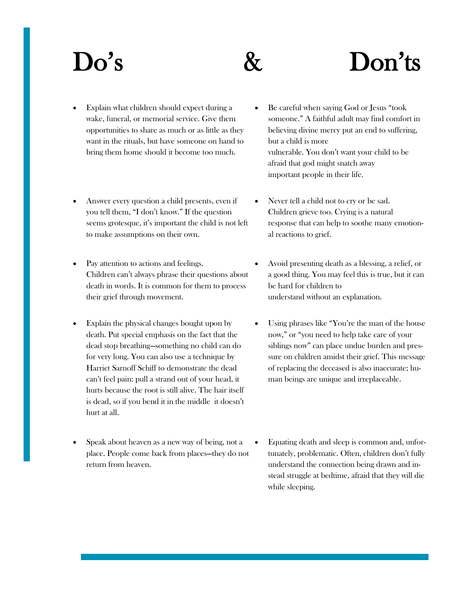# Do's & Don'ts

- Explain what children should expect during a wake, funeral, or memorial service. Give them opportunities to share as much or as little as they want in the rituals, but have someone on hand to bring them home should it become too much.
- Answer every question a child presents, even if you tell them, "I don't know." If the question seems grotesque, it's important the child is not left to make assumptions on their own.
- Pay attention to actions and feelings. Children can't always phrase their questions about death in words. It is common for them to process their grief through movement.
- Explain the physical changes bought upon by death. Put special emphasis on the fact that the dead stop breathing—something no child can do for very long. You can also use a technique by Harriet Sarnoff Schiff to demonstrate the dead can't feel pain: pull a strand out of your head, it hurts because the root is still alive. The hair itself is dead, so if you bend it in the middle it doesn't hurt at all.
- Speak about heaven as a new way of being, not a place. People come back from places—they do not return from heaven.
- Be careful when saying God or Jesus "took someone." A faithful adult may find comfort in believing divine mercy put an end to suffering, but a child is more vulnerable. You don't want your child to be afraid that god might snatch away important people in their life.
- Never tell a child not to cry or be sad. Children grieve too. Crying is a natural response that can help to soothe many emotional reactions to grief.
- Avoid presenting death as a blessing, a relief, or a good thing. You may feel this is true, but it can be hard for children to understand without an explanation.
- Using phrases like "You're the man of the house now," or "you need to help take care of your siblings now" can place undue burden and pressure on children amidst their grief. This message of replacing the deceased is also inaccurate; human beings are unique and irreplaceable.
- Equating death and sleep is common and, unfortunately, problematic. Often, children don't fully understand the connection being drawn and instead struggle at bedtime, afraid that they will die while sleeping.